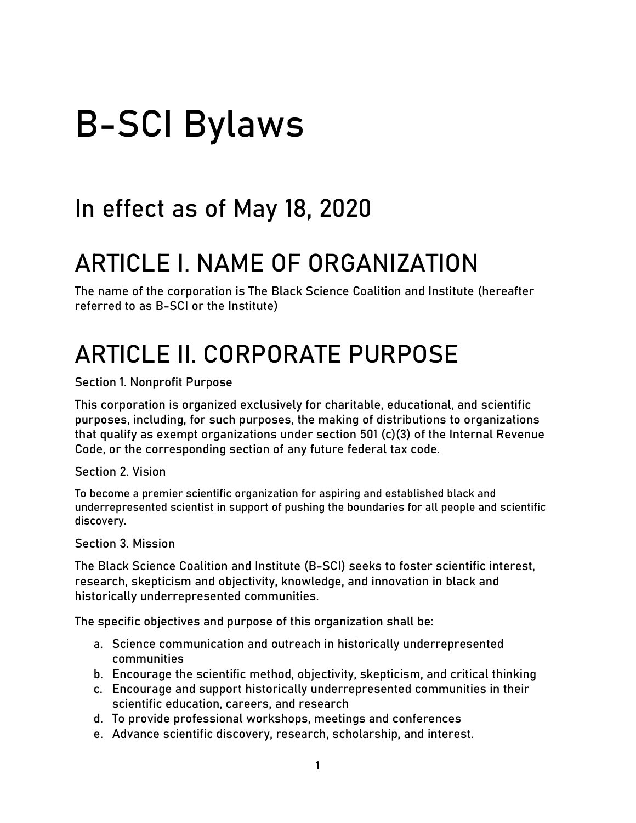# B-SCI Bylaws

### In effect as of May 18, 2020

## ARTICLE I. NAME OF ORGANIZATION

The name of the corporation is The Black Science Coalition and Institute (hereafter referred to as B-SCI or the Institute)

# ARTICLE II. CORPORATE PURPOSE

#### Section 1. Nonprofit Purpose

This corporation is organized exclusively for charitable, educational, and scientific purposes, including, for such purposes, the making of distributions to organizations that qualify as exempt organizations under section 501 (c)(3) of the Internal Revenue Code, or the corresponding section of any future federal tax code.

Section 2. Vision

To become a premier scientific organization for aspiring and established black and underrepresented scientist in support of pushing the boundaries for all people and scientific discovery.

Section 3. Mission

The Black Science Coalition and Institute (B-SCI) seeks to foster scientific interest, research, skepticism and objectivity, knowledge, and innovation in black and historically underrepresented communities.

The specific objectives and purpose of this organization shall be:

- a. Science communication and outreach in historically underrepresented communities
- b. Encourage the scientific method, objectivity, skepticism, and critical thinking
- c. Encourage and support historically underrepresented communities in their scientific education, careers, and research
- d. To provide professional workshops, meetings and conferences
- e. Advance scientific discovery, research, scholarship, and interest.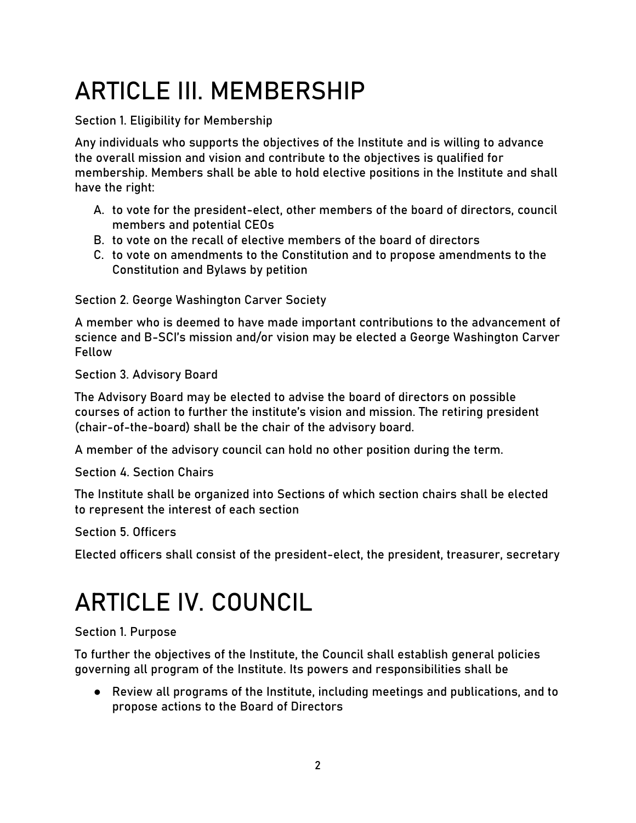# ARTICLE III. MEMBERSHIP

#### Section 1. Eligibility for Membership

Any individuals who supports the objectives of the Institute and is willing to advance the overall mission and vision and contribute to the objectives is qualified for membership. Members shall be able to hold elective positions in the Institute and shall have the right:

- A. to vote for the president-elect, other members of the board of directors, council members and potential CEOs
- B. to vote on the recall of elective members of the board of directors
- C. to vote on amendments to the Constitution and to propose amendments to the Constitution and Bylaws by petition

Section 2. George Washington Carver Society

A member who is deemed to have made important contributions to the advancement of science and B-SCI's mission and/or vision may be elected a George Washington Carver Fellow

Section 3. Advisory Board

The Advisory Board may be elected to advise the board of directors on possible courses of action to further the institute's vision and mission. The retiring president (chair-of-the-board) shall be the chair of the advisory board.

A member of the advisory council can hold no other position during the term.

Section 4. Section Chairs

The Institute shall be organized into Sections of which section chairs shall be elected to represent the interest of each section

Section 5. Officers

Elected officers shall consist of the president-elect, the president, treasurer, secretary

# ARTICLE IV. COUNCIL

#### Section 1. Purpose

To further the objectives of the Institute, the Council shall establish general policies governing all program of the Institute. Its powers and responsibilities shall be

● Review all programs of the Institute, including meetings and publications, and to propose actions to the Board of Directors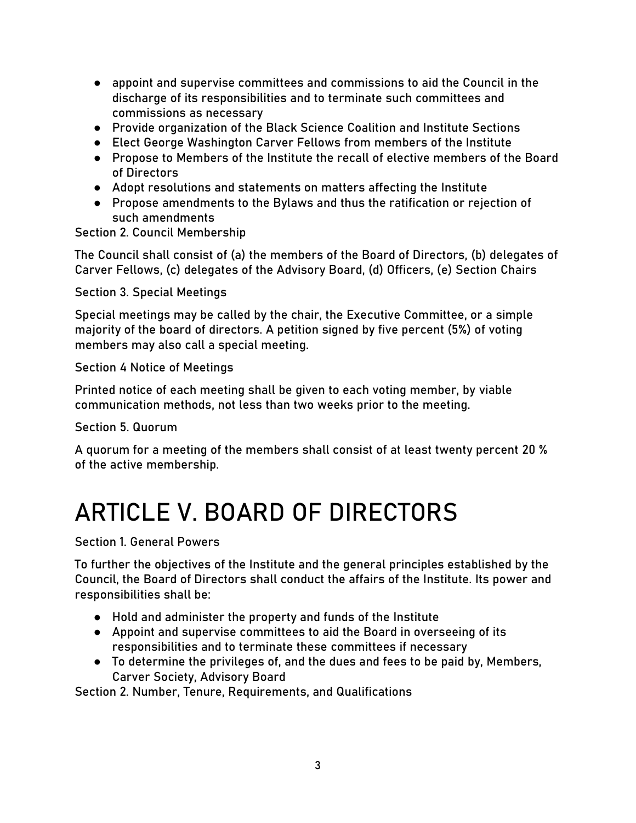- appoint and supervise committees and commissions to aid the Council in the discharge of its responsibilities and to terminate such committees and commissions as necessary
- Provide organization of the Black Science Coalition and Institute Sections
- Elect George Washington Carver Fellows from members of the Institute
- Propose to Members of the Institute the recall of elective members of the Board of Directors
- Adopt resolutions and statements on matters affecting the Institute
- Propose amendments to the Bylaws and thus the ratification or rejection of such amendments

Section 2. Council Membership

The Council shall consist of (a) the members of the Board of Directors, (b) delegates of Carver Fellows, (c) delegates of the Advisory Board, (d) Officers, (e) Section Chairs

Section 3. Special Meetings

Special meetings may be called by the chair, the Executive Committee, or a simple majority of the board of directors. A petition signed by five percent (5%) of voting members may also call a special meeting.

Section 4 Notice of Meetings

Printed notice of each meeting shall be given to each voting member, by viable communication methods, not less than two weeks prior to the meeting.

Section 5. Quorum

A quorum for a meeting of the members shall consist of at least twenty percent 20 % of the active membership.

# ARTICLE V. BOARD OF DIRECTORS

Section 1. General Powers

To further the objectives of the Institute and the general principles established by the Council, the Board of Directors shall conduct the affairs of the Institute. Its power and responsibilities shall be:

- Hold and administer the property and funds of the Institute
- Appoint and supervise committees to aid the Board in overseeing of its responsibilities and to terminate these committees if necessary
- To determine the privileges of, and the dues and fees to be paid by, Members, Carver Society, Advisory Board

Section 2. Number, Tenure, Requirements, and Qualifications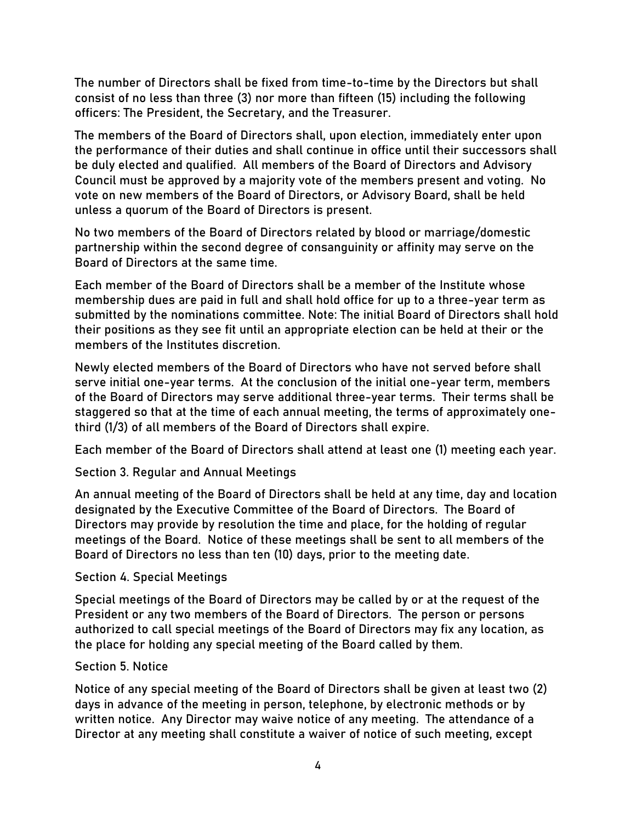The number of Directors shall be fixed from time-to-time by the Directors but shall consist of no less than three (3) nor more than fifteen (15) including the following officers: The President, the Secretary, and the Treasurer.

The members of the Board of Directors shall, upon election, immediately enter upon the performance of their duties and shall continue in office until their successors shall be duly elected and qualified. All members of the Board of Directors and Advisory Council must be approved by a majority vote of the members present and voting. No vote on new members of the Board of Directors, or Advisory Board, shall be held unless a quorum of the Board of Directors is present.

No two members of the Board of Directors related by blood or marriage/domestic partnership within the second degree of consanguinity or affinity may serve on the Board of Directors at the same time.

Each member of the Board of Directors shall be a member of the Institute whose membership dues are paid in full and shall hold office for up to a three-year term as submitted by the nominations committee. Note: The initial Board of Directors shall hold their positions as they see fit until an appropriate election can be held at their or the members of the Institutes discretion.

Newly elected members of the Board of Directors who have not served before shall serve initial one-year terms. At the conclusion of the initial one-year term, members of the Board of Directors may serve additional three-year terms. Their terms shall be staggered so that at the time of each annual meeting, the terms of approximately onethird (1/3) of all members of the Board of Directors shall expire.

Each member of the Board of Directors shall attend at least one (1) meeting each year.

Section 3. Regular and Annual Meetings

An annual meeting of the Board of Directors shall be held at any time, day and location designated by the Executive Committee of the Board of Directors. The Board of Directors may provide by resolution the time and place, for the holding of regular meetings of the Board. Notice of these meetings shall be sent to all members of the Board of Directors no less than ten (10) days, prior to the meeting date.

#### Section 4. Special Meetings

Special meetings of the Board of Directors may be called by or at the request of the President or any two members of the Board of Directors. The person or persons authorized to call special meetings of the Board of Directors may fix any location, as the place for holding any special meeting of the Board called by them.

#### Section 5. Notice

Notice of any special meeting of the Board of Directors shall be given at least two (2) days in advance of the meeting in person, telephone, by electronic methods or by written notice. Any Director may waive notice of any meeting. The attendance of a Director at any meeting shall constitute a waiver of notice of such meeting, except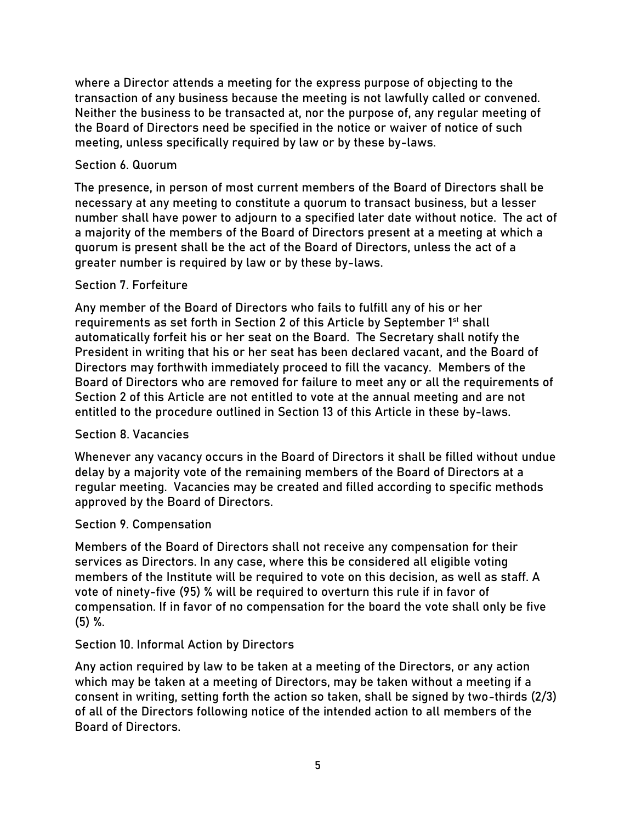where a Director attends a meeting for the express purpose of objecting to the transaction of any business because the meeting is not lawfully called or convened. Neither the business to be transacted at, nor the purpose of, any regular meeting of the Board of Directors need be specified in the notice or waiver of notice of such meeting, unless specifically required by law or by these by-laws.

#### Section 6. Quorum

The presence, in person of most current members of the Board of Directors shall be necessary at any meeting to constitute a quorum to transact business, but a lesser number shall have power to adjourn to a specified later date without notice. The act of a majority of the members of the Board of Directors present at a meeting at which a quorum is present shall be the act of the Board of Directors, unless the act of a greater number is required by law or by these by-laws.

#### Section 7. Forfeiture

Any member of the Board of Directors who fails to fulfill any of his or her requirements as set forth in Section 2 of this Article by September 1<sup>st</sup> shall automatically forfeit his or her seat on the Board. The Secretary shall notify the President in writing that his or her seat has been declared vacant, and the Board of Directors may forthwith immediately proceed to fill the vacancy. Members of the Board of Directors who are removed for failure to meet any or all the requirements of Section 2 of this Article are not entitled to vote at the annual meeting and are not entitled to the procedure outlined in Section 13 of this Article in these by-laws.

#### Section 8. Vacancies

Whenever any vacancy occurs in the Board of Directors it shall be filled without undue delay by a majority vote of the remaining members of the Board of Directors at a regular meeting. Vacancies may be created and filled according to specific methods approved by the Board of Directors.

#### Section 9. Compensation

Members of the Board of Directors shall not receive any compensation for their services as Directors. In any case, where this be considered all eligible voting members of the Institute will be required to vote on this decision, as well as staff. A vote of ninety-five (95) % will be required to overturn this rule if in favor of compensation. If in favor of no compensation for the board the vote shall only be five (5) %.

#### Section 10. Informal Action by Directors

Any action required by law to be taken at a meeting of the Directors, or any action which may be taken at a meeting of Directors, may be taken without a meeting if a consent in writing, setting forth the action so taken, shall be signed by two-thirds (2/3) of all of the Directors following notice of the intended action to all members of the Board of Directors.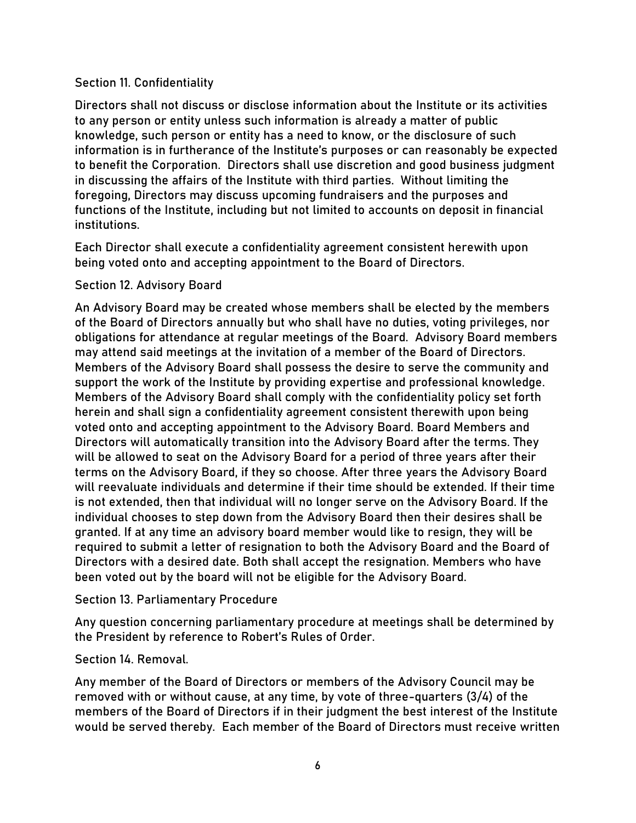#### Section 11. Confidentiality

Directors shall not discuss or disclose information about the Institute or its activities to any person or entity unless such information is already a matter of public knowledge, such person or entity has a need to know, or the disclosure of such information is in furtherance of the Institute's purposes or can reasonably be expected to benefit the Corporation. Directors shall use discretion and good business judgment in discussing the affairs of the Institute with third parties. Without limiting the foregoing, Directors may discuss upcoming fundraisers and the purposes and functions of the Institute, including but not limited to accounts on deposit in financial institutions.

Each Director shall execute a confidentiality agreement consistent herewith upon being voted onto and accepting appointment to the Board of Directors.

#### Section 12. Advisory Board

An Advisory Board may be created whose members shall be elected by the members of the Board of Directors annually but who shall have no duties, voting privileges, nor obligations for attendance at regular meetings of the Board. Advisory Board members may attend said meetings at the invitation of a member of the Board of Directors. Members of the Advisory Board shall possess the desire to serve the community and support the work of the Institute by providing expertise and professional knowledge. Members of the Advisory Board shall comply with the confidentiality policy set forth herein and shall sign a confidentiality agreement consistent therewith upon being voted onto and accepting appointment to the Advisory Board. Board Members and Directors will automatically transition into the Advisory Board after the terms. They will be allowed to seat on the Advisory Board for a period of three years after their terms on the Advisory Board, if they so choose. After three years the Advisory Board will reevaluate individuals and determine if their time should be extended. If their time is not extended, then that individual will no longer serve on the Advisory Board. If the individual chooses to step down from the Advisory Board then their desires shall be granted. If at any time an advisory board member would like to resign, they will be required to submit a letter of resignation to both the Advisory Board and the Board of Directors with a desired date. Both shall accept the resignation. Members who have been voted out by the board will not be eligible for the Advisory Board.

#### Section 13. Parliamentary Procedure

Any question concerning parliamentary procedure at meetings shall be determined by the President by reference to Robert's Rules of Order.

#### Section 14. Removal.

Any member of the Board of Directors or members of the Advisory Council may be removed with or without cause, at any time, by vote of three-quarters (3/4) of the members of the Board of Directors if in their judgment the best interest of the Institute would be served thereby. Each member of the Board of Directors must receive written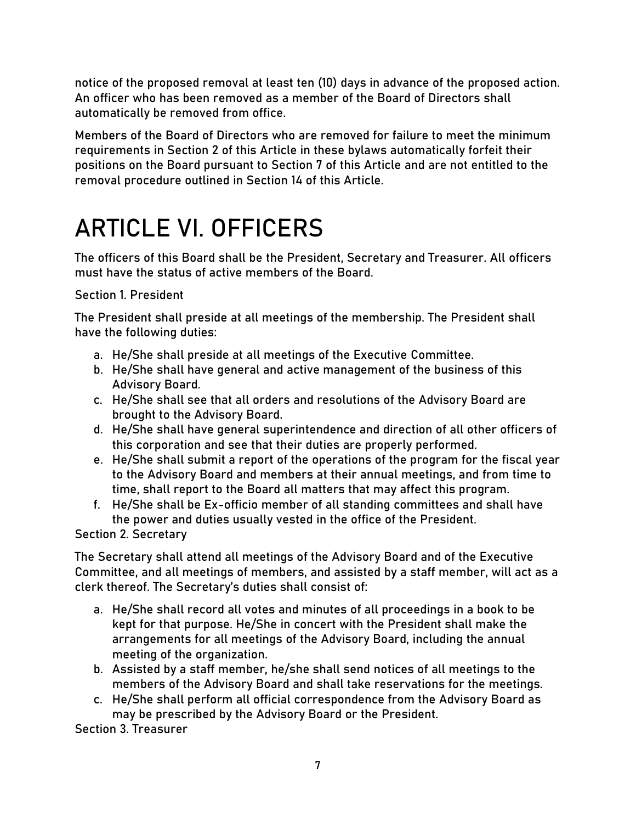notice of the proposed removal at least ten (10) days in advance of the proposed action. An officer who has been removed as a member of the Board of Directors shall automatically be removed from office.

Members of the Board of Directors who are removed for failure to meet the minimum requirements in Section 2 of this Article in these bylaws automatically forfeit their positions on the Board pursuant to Section 7 of this Article and are not entitled to the removal procedure outlined in Section 14 of this Article.

# ARTICLE VI. OFFICERS

The officers of this Board shall be the President, Secretary and Treasurer. All officers must have the status of active members of the Board.

#### Section 1. President

The President shall preside at all meetings of the membership. The President shall have the following duties:

- a. He/She shall preside at all meetings of the Executive Committee.
- b. He/She shall have general and active management of the business of this Advisory Board.
- c. He/She shall see that all orders and resolutions of the Advisory Board are brought to the Advisory Board.
- d. He/She shall have general superintendence and direction of all other officers of this corporation and see that their duties are properly performed.
- e. He/She shall submit a report of the operations of the program for the fiscal year to the Advisory Board and members at their annual meetings, and from time to time, shall report to the Board all matters that may affect this program.
- f. He/She shall be Ex-officio member of all standing committees and shall have the power and duties usually vested in the office of the President.

Section 2. Secretary

The Secretary shall attend all meetings of the Advisory Board and of the Executive Committee, and all meetings of members, and assisted by a staff member, will act as a clerk thereof. The Secretary's duties shall consist of:

- a. He/She shall record all votes and minutes of all proceedings in a book to be kept for that purpose. He/She in concert with the President shall make the arrangements for all meetings of the Advisory Board, including the annual meeting of the organization.
- b. Assisted by a staff member, he/she shall send notices of all meetings to the members of the Advisory Board and shall take reservations for the meetings.
- c. He/She shall perform all official correspondence from the Advisory Board as may be prescribed by the Advisory Board or the President.

Section 3. Treasurer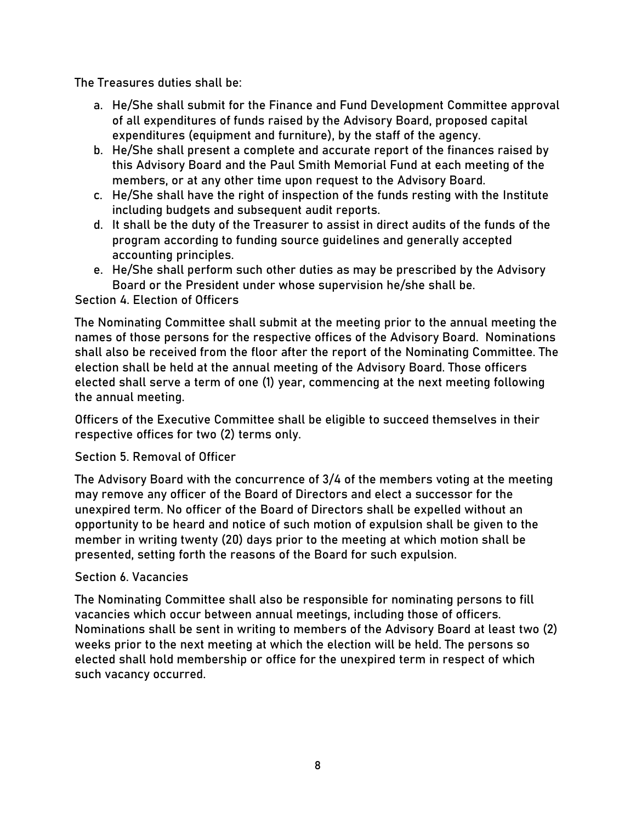The Treasures duties shall be:

- a. He/She shall submit for the Finance and Fund Development Committee approval of all expenditures of funds raised by the Advisory Board, proposed capital expenditures (equipment and furniture), by the staff of the agency.
- b. He/She shall present a complete and accurate report of the finances raised by this Advisory Board and the Paul Smith Memorial Fund at each meeting of the members, or at any other time upon request to the Advisory Board.
- c. He/She shall have the right of inspection of the funds resting with the Institute including budgets and subsequent audit reports.
- d. It shall be the duty of the Treasurer to assist in direct audits of the funds of the program according to funding source guidelines and generally accepted accounting principles.
- e. He/She shall perform such other duties as may be prescribed by the Advisory Board or the President under whose supervision he/she shall be.

#### Section 4. Election of Officers

The Nominating Committee shall submit at the meeting prior to the annual meeting the names of those persons for the respective offices of the Advisory Board. Nominations shall also be received from the floor after the report of the Nominating Committee. The election shall be held at the annual meeting of the Advisory Board. Those officers elected shall serve a term of one (1) year, commencing at the next meeting following the annual meeting.

Officers of the Executive Committee shall be eligible to succeed themselves in their respective offices for two (2) terms only.

#### Section 5. Removal of Officer

The Advisory Board with the concurrence of 3/4 of the members voting at the meeting may remove any officer of the Board of Directors and elect a successor for the unexpired term. No officer of the Board of Directors shall be expelled without an opportunity to be heard and notice of such motion of expulsion shall be given to the member in writing twenty (20) days prior to the meeting at which motion shall be presented, setting forth the reasons of the Board for such expulsion.

#### Section 6. Vacancies

The Nominating Committee shall also be responsible for nominating persons to fill vacancies which occur between annual meetings, including those of officers. Nominations shall be sent in writing to members of the Advisory Board at least two (2) weeks prior to the next meeting at which the election will be held. The persons so elected shall hold membership or office for the unexpired term in respect of which such vacancy occurred.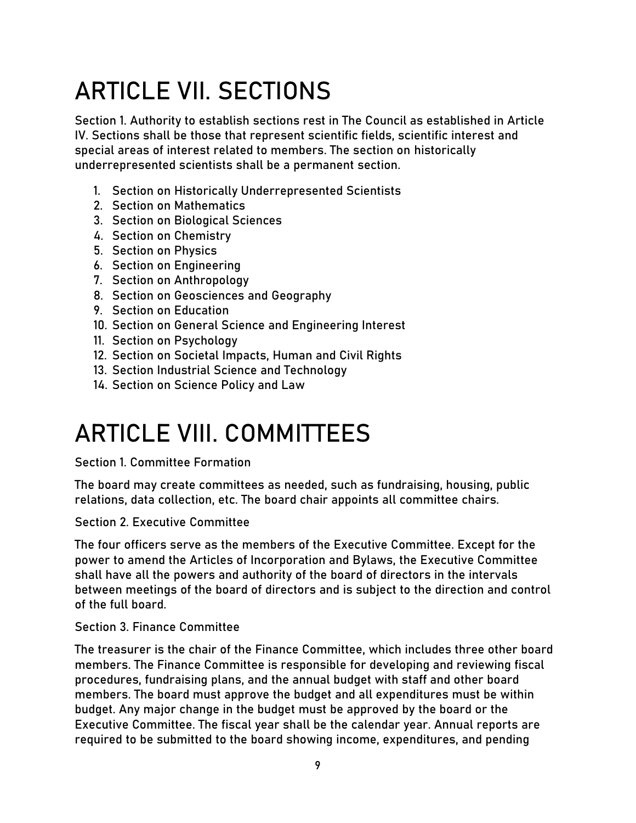# ARTICLE VII. SECTIONS

Section 1. Authority to establish sections rest in The Council as established in Article IV. Sections shall be those that represent scientific fields, scientific interest and special areas of interest related to members. The section on historically underrepresented scientists shall be a permanent section.

- 1. Section on Historically Underrepresented Scientists
- 2. Section on Mathematics
- 3. Section on Biological Sciences
- 4. Section on Chemistry
- 5. Section on Physics
- 6. Section on Engineering
- 7. Section on Anthropology
- 8. Section on Geosciences and Geography
- 9. Section on Education
- 10. Section on General Science and Engineering Interest
- 11. Section on Psychology
- 12. Section on Societal Impacts, Human and Civil Rights
- 13. Section Industrial Science and Technology
- 14. Section on Science Policy and Law

### ARTICLE VIII. COMMITTEES

Section 1. Committee Formation

The board may create committees as needed, such as fundraising, housing, public relations, data collection, etc. The board chair appoints all committee chairs.

Section 2. Executive Committee

The four officers serve as the members of the Executive Committee. Except for the power to amend the Articles of Incorporation and Bylaws, the Executive Committee shall have all the powers and authority of the board of directors in the intervals between meetings of the board of directors and is subject to the direction and control of the full board.

#### Section 3. Finance Committee

The treasurer is the chair of the Finance Committee, which includes three other board members. The Finance Committee is responsible for developing and reviewing fiscal procedures, fundraising plans, and the annual budget with staff and other board members. The board must approve the budget and all expenditures must be within budget. Any major change in the budget must be approved by the board or the Executive Committee. The fiscal year shall be the calendar year. Annual reports are required to be submitted to the board showing income, expenditures, and pending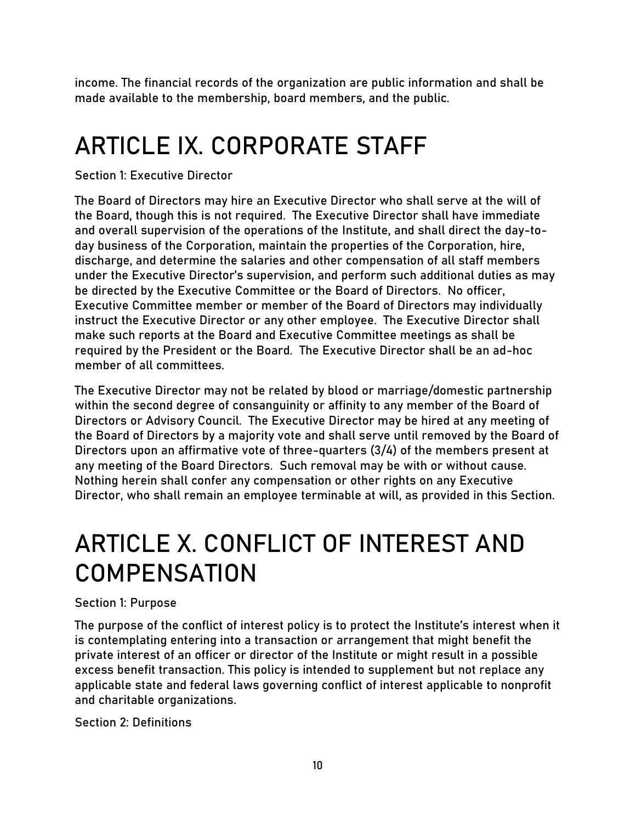income. The financial records of the organization are public information and shall be made available to the membership, board members, and the public.

### ARTICLE IX. CORPORATE STAFF

Section 1: Executive Director

The Board of Directors may hire an Executive Director who shall serve at the will of the Board, though this is not required. The Executive Director shall have immediate and overall supervision of the operations of the Institute, and shall direct the day-today business of the Corporation, maintain the properties of the Corporation, hire, discharge, and determine the salaries and other compensation of all staff members under the Executive Director's supervision, and perform such additional duties as may be directed by the Executive Committee or the Board of Directors. No officer, Executive Committee member or member of the Board of Directors may individually instruct the Executive Director or any other employee. The Executive Director shall make such reports at the Board and Executive Committee meetings as shall be required by the President or the Board. The Executive Director shall be an ad-hoc member of all committees.

The Executive Director may not be related by blood or marriage/domestic partnership within the second degree of consanguinity or affinity to any member of the Board of Directors or Advisory Council. The Executive Director may be hired at any meeting of the Board of Directors by a majority vote and shall serve until removed by the Board of Directors upon an affirmative vote of three-quarters (3/4) of the members present at any meeting of the Board Directors. Such removal may be with or without cause. Nothing herein shall confer any compensation or other rights on any Executive Director, who shall remain an employee terminable at will, as provided in this Section.

# ARTICLE X. CONFLICT OF INTEREST AND **COMPENSATION**

#### Section 1: Purpose

The purpose of the conflict of interest policy is to protect the Institute's interest when it is contemplating entering into a transaction or arrangement that might benefit the private interest of an officer or director of the Institute or might result in a possible excess benefit transaction. This policy is intended to supplement but not replace any applicable state and federal laws governing conflict of interest applicable to nonprofit and charitable organizations.

Section 2: Definitions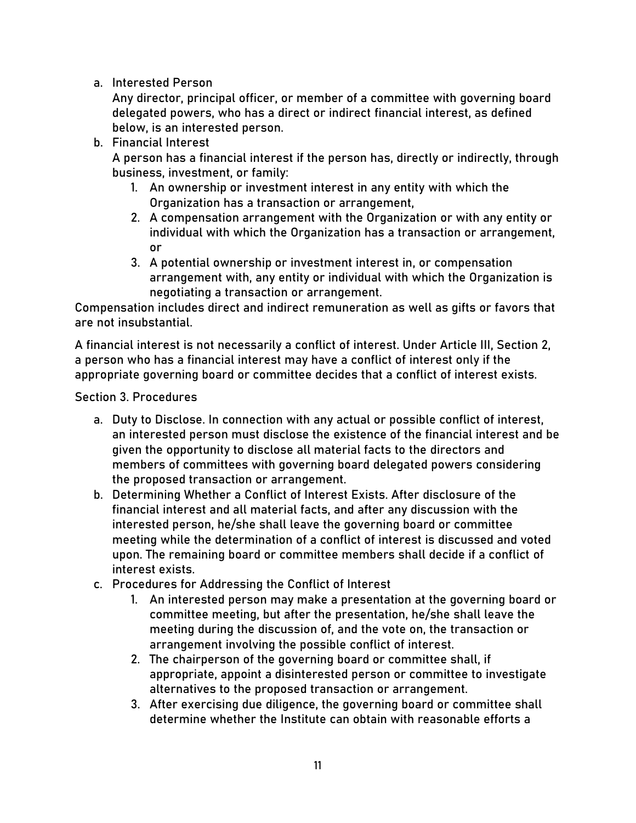a. Interested Person

Any director, principal officer, or member of a committee with governing board delegated powers, who has a direct or indirect financial interest, as defined below, is an interested person.

b. Financial Interest

A person has a financial interest if the person has, directly or indirectly, through business, investment, or family:

- 1. An ownership or investment interest in any entity with which the Organization has a transaction or arrangement,
- 2. A compensation arrangement with the Organization or with any entity or individual with which the Organization has a transaction or arrangement, or
- 3. A potential ownership or investment interest in, or compensation arrangement with, any entity or individual with which the Organization is negotiating a transaction or arrangement.

Compensation includes direct and indirect remuneration as well as gifts or favors that are not insubstantial.

A financial interest is not necessarily a conflict of interest. Under Article III, Section 2, a person who has a financial interest may have a conflict of interest only if the appropriate governing board or committee decides that a conflict of interest exists.

Section 3. Procedures

- a. Duty to Disclose. In connection with any actual or possible conflict of interest, an interested person must disclose the existence of the financial interest and be given the opportunity to disclose all material facts to the directors and members of committees with governing board delegated powers considering the proposed transaction or arrangement.
- b. Determining Whether a Conflict of Interest Exists. After disclosure of the financial interest and all material facts, and after any discussion with the interested person, he/she shall leave the governing board or committee meeting while the determination of a conflict of interest is discussed and voted upon. The remaining board or committee members shall decide if a conflict of interest exists.
- c. Procedures for Addressing the Conflict of Interest
	- 1. An interested person may make a presentation at the governing board or committee meeting, but after the presentation, he/she shall leave the meeting during the discussion of, and the vote on, the transaction or arrangement involving the possible conflict of interest.
	- 2. The chairperson of the governing board or committee shall, if appropriate, appoint a disinterested person or committee to investigate alternatives to the proposed transaction or arrangement.
	- 3. After exercising due diligence, the governing board or committee shall determine whether the Institute can obtain with reasonable efforts a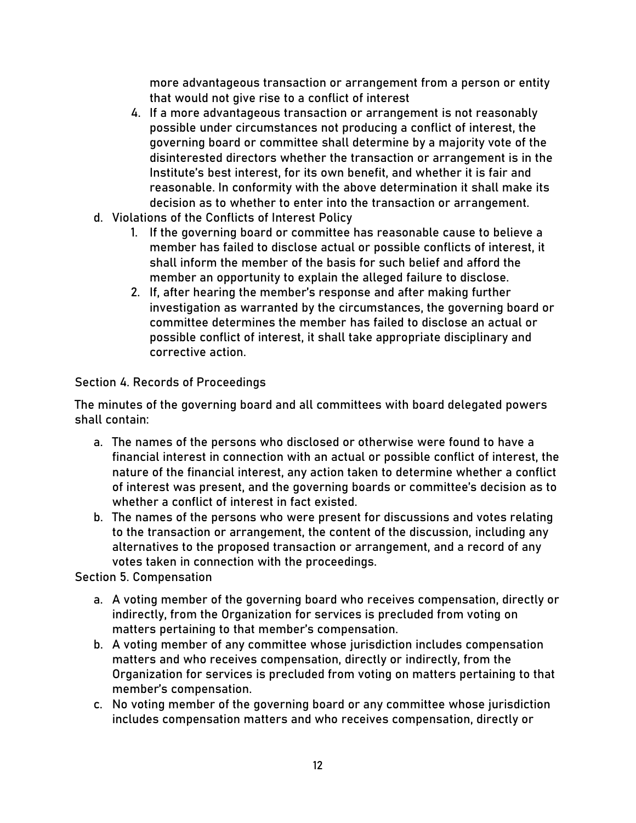more advantageous transaction or arrangement from a person or entity that would not give rise to a conflict of interest

- 4. If a more advantageous transaction or arrangement is not reasonably possible under circumstances not producing a conflict of interest, the governing board or committee shall determine by a majority vote of the disinterested directors whether the transaction or arrangement is in the Institute's best interest, for its own benefit, and whether it is fair and reasonable. In conformity with the above determination it shall make its decision as to whether to enter into the transaction or arrangement.
- d. Violations of the Conflicts of Interest Policy
	- 1. If the governing board or committee has reasonable cause to believe a member has failed to disclose actual or possible conflicts of interest, it shall inform the member of the basis for such belief and afford the member an opportunity to explain the alleged failure to disclose.
	- 2. If, after hearing the member's response and after making further investigation as warranted by the circumstances, the governing board or committee determines the member has failed to disclose an actual or possible conflict of interest, it shall take appropriate disciplinary and corrective action.

#### Section 4. Records of Proceedings

The minutes of the governing board and all committees with board delegated powers shall contain:

- a. The names of the persons who disclosed or otherwise were found to have a financial interest in connection with an actual or possible conflict of interest, the nature of the financial interest, any action taken to determine whether a conflict of interest was present, and the governing boards or committee's decision as to whether a conflict of interest in fact existed.
- b. The names of the persons who were present for discussions and votes relating to the transaction or arrangement, the content of the discussion, including any alternatives to the proposed transaction or arrangement, and a record of any votes taken in connection with the proceedings.

Section 5. Compensation

- a. A voting member of the governing board who receives compensation, directly or indirectly, from the Organization for services is precluded from voting on matters pertaining to that member's compensation.
- b. A voting member of any committee whose jurisdiction includes compensation matters and who receives compensation, directly or indirectly, from the Organization for services is precluded from voting on matters pertaining to that member's compensation.
- c. No voting member of the governing board or any committee whose jurisdiction includes compensation matters and who receives compensation, directly or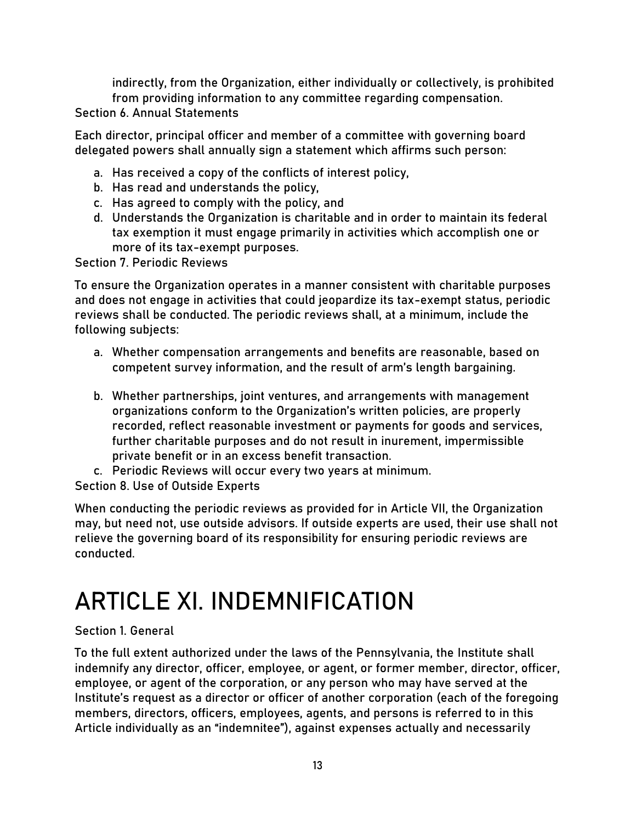indirectly, from the Organization, either individually or collectively, is prohibited from providing information to any committee regarding compensation. Section 6. Annual Statements

Each director, principal officer and member of a committee with governing board delegated powers shall annually sign a statement which affirms such person:

- a. Has received a copy of the conflicts of interest policy,
- b. Has read and understands the policy,
- c. Has agreed to comply with the policy, and
- d. Understands the Organization is charitable and in order to maintain its federal tax exemption it must engage primarily in activities which accomplish one or more of its tax-exempt purposes.

Section 7. Periodic Reviews

To ensure the Organization operates in a manner consistent with charitable purposes and does not engage in activities that could jeopardize its tax-exempt status, periodic reviews shall be conducted. The periodic reviews shall, at a minimum, include the following subjects:

- a. Whether compensation arrangements and benefits are reasonable, based on competent survey information, and the result of arm's length bargaining.
- b. Whether partnerships, joint ventures, and arrangements with management organizations conform to the Organization's written policies, are properly recorded, reflect reasonable investment or payments for goods and services, further charitable purposes and do not result in inurement, impermissible private benefit or in an excess benefit transaction.
- c. Periodic Reviews will occur every two years at minimum.

Section 8. Use of Outside Experts

When conducting the periodic reviews as provided for in Article VII, the Organization may, but need not, use outside advisors. If outside experts are used, their use shall not relieve the governing board of its responsibility for ensuring periodic reviews are conducted.

# ARTICLE XI. INDEMNIFICATION

#### Section 1. General

To the full extent authorized under the laws of the Pennsylvania, the Institute shall indemnify any director, officer, employee, or agent, or former member, director, officer, employee, or agent of the corporation, or any person who may have served at the Institute's request as a director or officer of another corporation (each of the foregoing members, directors, officers, employees, agents, and persons is referred to in this Article individually as an "indemnitee"), against expenses actually and necessarily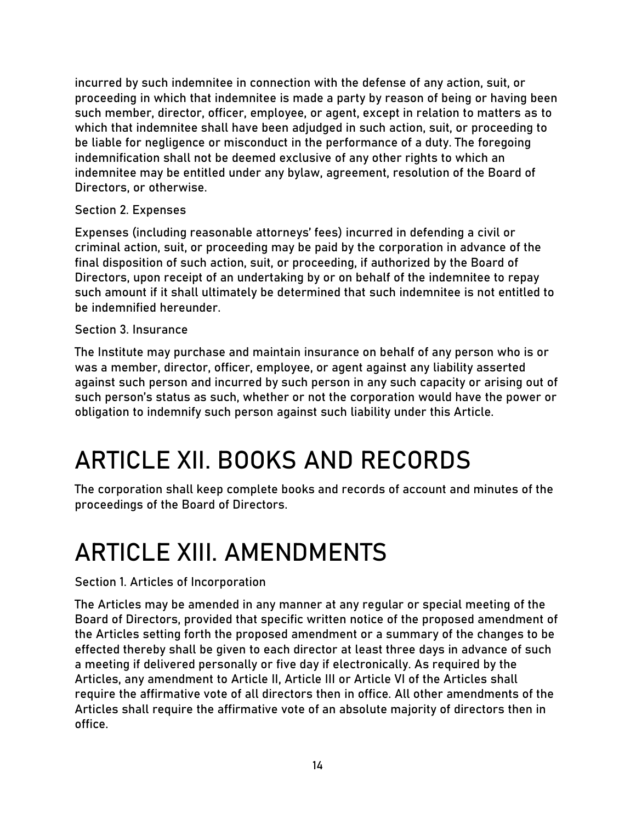incurred by such indemnitee in connection with the defense of any action, suit, or proceeding in which that indemnitee is made a party by reason of being or having been such member, director, officer, employee, or agent, except in relation to matters as to which that indemnitee shall have been adjudged in such action, suit, or proceeding to be liable for negligence or misconduct in the performance of a duty. The foregoing indemnification shall not be deemed exclusive of any other rights to which an indemnitee may be entitled under any bylaw, agreement, resolution of the Board of Directors, or otherwise.

#### Section 2. Expenses

Expenses (including reasonable attorneys' fees) incurred in defending a civil or criminal action, suit, or proceeding may be paid by the corporation in advance of the final disposition of such action, suit, or proceeding, if authorized by the Board of Directors, upon receipt of an undertaking by or on behalf of the indemnitee to repay such amount if it shall ultimately be determined that such indemnitee is not entitled to be indemnified hereunder.

#### Section 3. Insurance

The Institute may purchase and maintain insurance on behalf of any person who is or was a member, director, officer, employee, or agent against any liability asserted against such person and incurred by such person in any such capacity or arising out of such person's status as such, whether or not the corporation would have the power or obligation to indemnify such person against such liability under this Article.

### ARTICLE XII. BOOKS AND RECORDS

The corporation shall keep complete books and records of account and minutes of the proceedings of the Board of Directors.

### ARTICLE XIII. AMENDMENTS

#### Section 1. Articles of Incorporation

The Articles may be amended in any manner at any regular or special meeting of the Board of Directors, provided that specific written notice of the proposed amendment of the Articles setting forth the proposed amendment or a summary of the changes to be effected thereby shall be given to each director at least three days in advance of such a meeting if delivered personally or five day if electronically. As required by the Articles, any amendment to Article II, Article III or Article VI of the Articles shall require the affirmative vote of all directors then in office. All other amendments of the Articles shall require the affirmative vote of an absolute majority of directors then in office.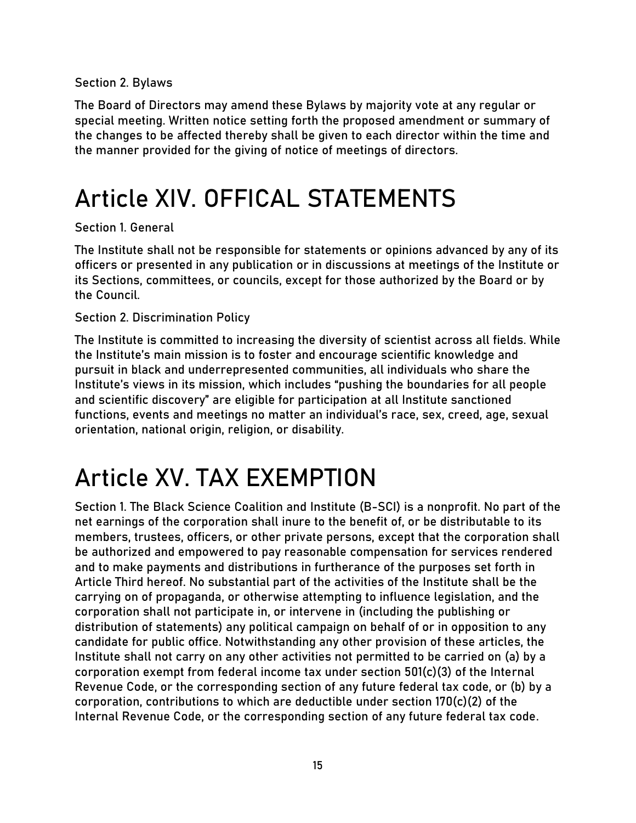#### Section 2. Bylaws

The Board of Directors may amend these Bylaws by majority vote at any regular or special meeting. Written notice setting forth the proposed amendment or summary of the changes to be affected thereby shall be given to each director within the time and the manner provided for the giving of notice of meetings of directors.

## Article XIV. OFFICAL STATEMENTS

#### Section 1. General

The Institute shall not be responsible for statements or opinions advanced by any of its officers or presented in any publication or in discussions at meetings of the Institute or its Sections, committees, or councils, except for those authorized by the Board or by the Council.

#### Section 2. Discrimination Policy

The Institute is committed to increasing the diversity of scientist across all fields. While the Institute's main mission is to foster and encourage scientific knowledge and pursuit in black and underrepresented communities, all individuals who share the Institute's views in its mission, which includes "pushing the boundaries for all people and scientific discovery" are eligible for participation at all Institute sanctioned functions, events and meetings no matter an individual's race, sex, creed, age, sexual orientation, national origin, religion, or disability.

### Article XV. TAX EXEMPTION

Section 1. The Black Science Coalition and Institute (B-SCI) is a nonprofit. No part of the net earnings of the corporation shall inure to the benefit of, or be distributable to its members, trustees, officers, or other private persons, except that the corporation shall be authorized and empowered to pay reasonable compensation for services rendered and to make payments and distributions in furtherance of the purposes set forth in Article Third hereof. No substantial part of the activities of the Institute shall be the carrying on of propaganda, or otherwise attempting to influence legislation, and the corporation shall not participate in, or intervene in (including the publishing or distribution of statements) any political campaign on behalf of or in opposition to any candidate for public office. Notwithstanding any other provision of these articles, the Institute shall not carry on any other activities not permitted to be carried on (a) by a corporation exempt from federal income tax under section 501(c)(3) of the Internal Revenue Code, or the corresponding section of any future federal tax code, or (b) by a corporation, contributions to which are deductible under section 170(c)(2) of the Internal Revenue Code, or the corresponding section of any future federal tax code.